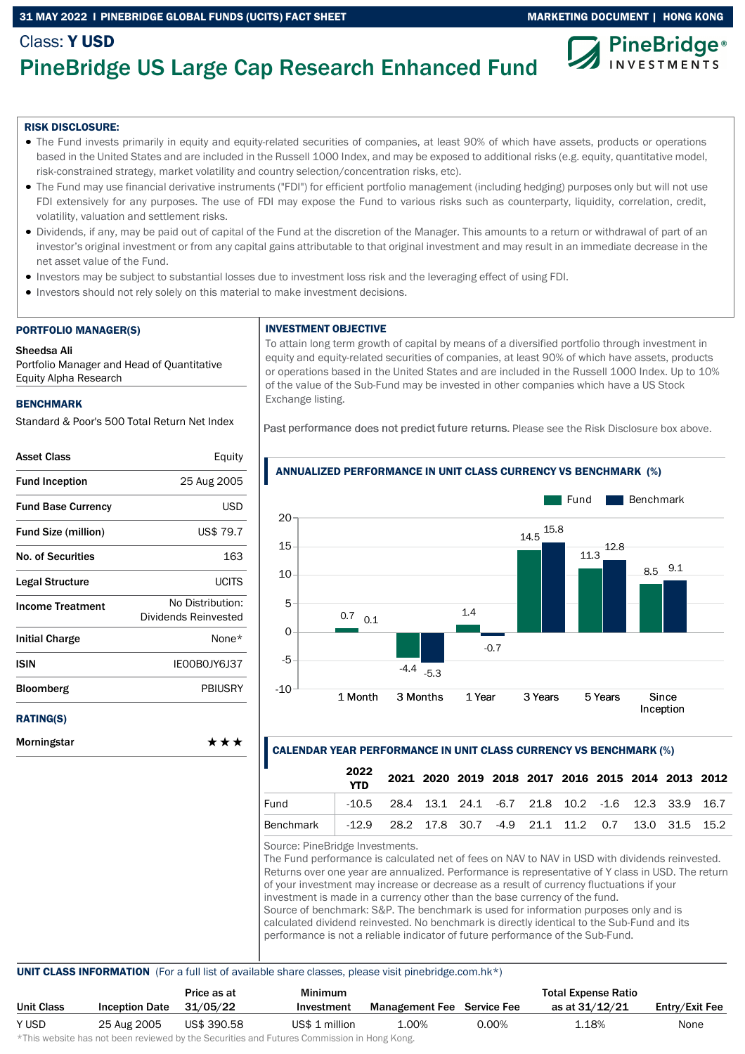### 31 MAY 2022 I PINEBRIDGE GLOBAL FUNDS (UCITS) FACT SHEET MARKETING DOCUMENT | HONG KONG



# PineBridge US Large Cap Research Enhanced Fund

### RISK DISCLOSURE:

Class: Y USD

- The Fund invests primarily in equity and equity-related securities of companies, at least 90% of which have assets, products or operations based in the United States and are included in the Russell 1000 Index, and may be exposed to additional risks (e.g. equity, quantitative model, risk-constrained strategy, market volatility and country selection/concentration risks, etc).
- The Fund may use financial derivative instruments ("FDI") for efficient portfolio management (including hedging) purposes only but will not use FDI extensively for any purposes. The use of FDI may expose the Fund to various risks such as counterparty, liquidity, correlation, credit, volatility, valuation and settlement risks.
- Dividends, if any, may be paid out of capital of the Fund at the discretion of the Manager. This amounts to a return or withdrawal of part of an investor's original investment or from any capital gains attributable to that original investment and may result in an immediate decrease in the net asset value of the Fund.
- Investors may be subject to substantial losses due to investment loss risk and the leveraging effect of using FDI.
- Investors should not rely solely on this material to make investment decisions.

### PORTFOLIO MANAGER(S)

### Sheedsa Ali

Portfolio Manager and Head of Quantitative Equity Alpha Research

### **BENCHMARK**

Standard & Poor's 500 Total Return Net Index

| <b>Asset Class</b>         | Equity                                   |
|----------------------------|------------------------------------------|
| <b>Fund Inception</b>      | 25 Aug 2005                              |
| <b>Fund Base Currency</b>  | <b>USD</b>                               |
| <b>Fund Size (million)</b> | US\$ 79.7                                |
| <b>No. of Securities</b>   | 163                                      |
| Legal Structure            | UCITS                                    |
| <b>Income Treatment</b>    | No Distribution:<br>Dividends Reinvested |
| <b>Initial Charge</b>      | None*                                    |
| ISIN                       | IE00B0JY6J37                             |
| <b>Bloomberg</b>           | <b>PBIUSRY</b>                           |
| <b>RATING(S)</b>           |                                          |
| Morningstar                | ***                                      |

### INVESTMENT OBJECTIVE

To attain long term growth of capital by means of a diversified portfolio through investment in equity and equity-related securities of companies, at least 90% of which have assets, products or operations based in the United States and are included in the Russell 1000 Index. Up to 10% of the value of the Sub-Fund may be invested in other companies which have a US Stock Exchange listing.

Past performance does not predict future returns. Please see the Risk Disclosure box above.



### ANNUALIZED PERFORMANCE IN UNIT CLASS CURRENCY VS BENCHMARK (%)

### CALENDAR YEAR PERFORMANCE IN UNIT CLASS CURRENCY VS BENCHMARK (%)

|           | 2022<br><b>YTD</b>                                            |  | 2021 2020 2019 2018 2017 2016 2015 2014 2013 2012 |  |  |  |  |
|-----------|---------------------------------------------------------------|--|---------------------------------------------------|--|--|--|--|
| Fund      | $-10.5$ 28.4 13.1 24.1 $-6.7$ 21.8 10.2 $-1.6$ 12.3 33.9 16.7 |  |                                                   |  |  |  |  |
| Benchmark | $-12.9$ 28.2 17.8 30.7 -4.9 21.1 11.2 0.7 13.0 31.5 15.2      |  |                                                   |  |  |  |  |

Source: PineBridge Investments.

The Fund performance is calculated net of fees on NAV to NAV in USD with dividends reinvested. Returns over one year are annualized. Performance is representative of Y class in USD. The return of your investment may increase or decrease as a result of currency fluctuations if your investment is made in a currency other than the base currency of the fund. Source of benchmark: S&P. The benchmark is used for information purposes only and is calculated dividend reinvested. No benchmark is directly identical to the Sub-Fund and its performance is not a reliable indicator of future performance of the Sub-Fund.

### UNIT CLASS INFORMATION (For a full list of available share classes, please visit pinebridge.com.hk\*)

|                   |                       | Price as at | Minimum        |                                   |       | <b>Total Expense Ratio</b> |                |
|-------------------|-----------------------|-------------|----------------|-----------------------------------|-------|----------------------------|----------------|
| <b>Unit Class</b> | <b>Inception Date</b> | 31/05/22    | Investment     | <b>Management Fee</b> Service Fee |       | as at 31/12/21             | Entry/Exit Fee |
| Y USD             | 25 Aug 2005           | US\$ 390.58 | US\$ 1 million | 1.00%                             | 0.00% | 1.18%                      | None           |

\*This website has not been reviewed by the Securities and Futures Commission in Hong Kong.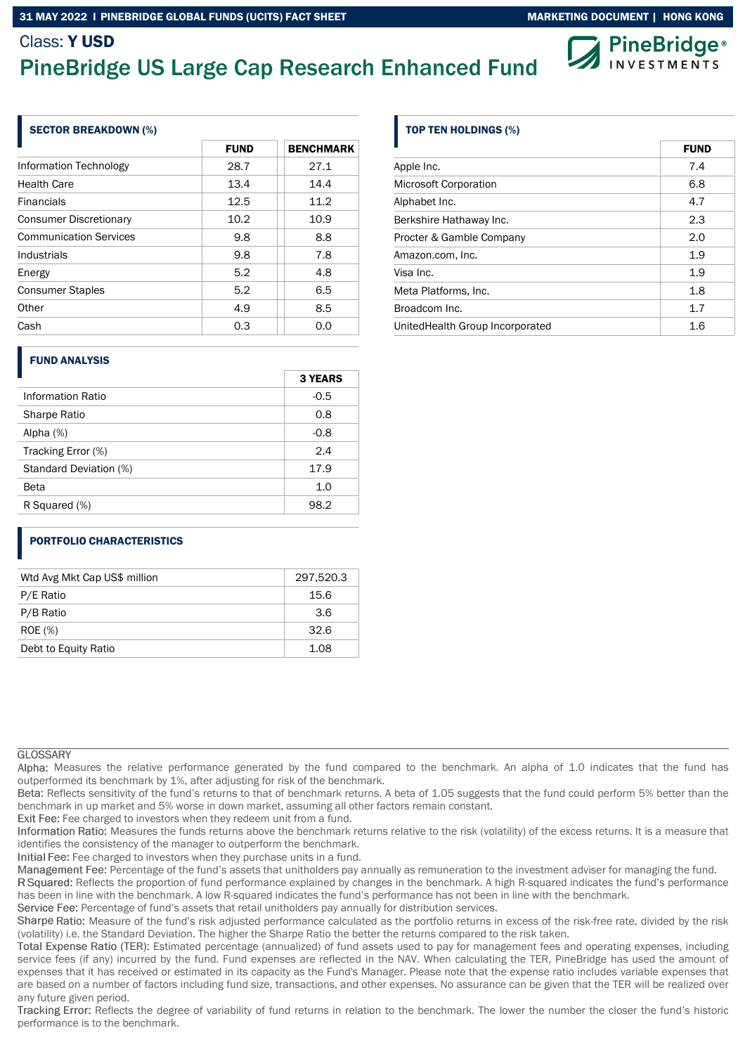## Class: Y USD PineBridge US Large Cap Research Enhanced Fund



| <b>SECTOR BREAKDOWN (%)</b>   |             |                  |
|-------------------------------|-------------|------------------|
|                               | <b>FUND</b> | <b>BENCHMARK</b> |
| Information Technology        | 28.7        | 27.1             |
| Health Care                   | 13.4        | 14.4             |
| <b>Financials</b>             | 12.5        | 11.2             |
| <b>Consumer Discretionary</b> | 10.2        | 10.9             |
| <b>Communication Services</b> | 9.8         | 8.8              |
| Industrials                   | 9.8         | 7.8              |
| Energy                        | 5.2         | 4.8              |
| <b>Consumer Staples</b>       | 5.2         | 6.5              |
| Other                         | 4.9         | 8.5              |
| Cash                          | 0.3         | 0.0              |

### FUND ANALYSIS

|                          | <b>3 YEARS</b> |
|--------------------------|----------------|
| <b>Information Ratio</b> | $-0.5$         |
| Sharpe Ratio             | 0.8            |
| Alpha $(%)$              | $-0.8$         |
| Tracking Error (%)       | 2.4            |
| Standard Deviation (%)   | 17.9           |
| Beta                     | 1.0            |
| R Squared (%)            | 98.2           |
|                          |                |

### PORTFOLIO CHARACTERISTICS

| Wtd Avg Mkt Cap US\$ million | 297,520.3 |
|------------------------------|-----------|
| P/E Ratio                    | 15.6      |
| P/B Ratio                    | 3.6       |
| ROE (%)                      | 32.6      |
| Debt to Equity Ratio         | 1.08      |

### **GLOSSARY**

Alpha: Measures the relative performance generated by the fund compared to the benchmark. An alpha of 1.0 indicates that the fund has outperformed its benchmark by 1%, after adjusting for risk of the benchmark.

Beta: Reflects sensitivity of the fund's returns to that of benchmark returns. A beta of 1.05 suggests that the fund could perform 5% better than the benchmark in up market and 5% worse in down market, assuming all other factors remain constant.

Exit Fee: Fee charged to investors when they redeem unit from a fund.

Information Ratio: Measures the funds returns above the benchmark returns relative to the risk (volatility) of the excess returns. It is a measure that identifies the consistency of the manager to outperform the benchmark.

Initial Fee: Fee charged to investors when they purchase units in a fund.

Management Fee: Percentage of the fund's assets that unitholders pay annually as remuneration to the investment adviser for managing the fund.

R Squared: Reflects the proportion of fund performance explained by changes in the benchmark. A high R-squared indicates the fund's performance has been in line with the benchmark. A low R-squared indicates the fund's performance has not been in line with the benchmark.

Service Fee: Percentage of fund's assets that retail unitholders pay annually for distribution services.

Sharpe Ratio: Measure of the fund's risk adjusted performance calculated as the portfolio returns in excess of the risk-free rate, divided by the risk (volatility) i.e. the Standard Deviation. The higher the Sharpe Ratio the better the returns compared to the risk taken.

Total Expense Ratio (TER): Estimated percentage (annualized) of fund assets used to pay for management fees and operating expenses, including service fees (if any) incurred by the fund. Fund expenses are reflected in the NAV. When calculating the TER, PineBridge has used the amount of expenses that it has received or estimated in its capacity as the Fund's Manager. Please note that the expense ratio includes variable expenses that are based on a number of factors including fund size, transactions, and other expenses. No assurance can be given that the TER will be realized over any future given period.

Tracking Error: Reflects the degree of variability of fund returns in relation to the benchmark. The lower the number the closer the fund's historic performance is to the benchmark.

### TOP TEN HOLDINGS (%)

|                                  | <b>FUND</b> |
|----------------------------------|-------------|
| Apple Inc.                       | 7.4         |
| <b>Microsoft Corporation</b>     | 6.8         |
| Alphabet Inc.                    | 4.7         |
| Berkshire Hathaway Inc.          | 2.3         |
| Procter & Gamble Company         | 2.0         |
| Amazon.com, Inc.                 | 1.9         |
| Visa Inc.                        | 1.9         |
| Meta Platforms, Inc.             | 1.8         |
| Broadcom Inc.                    | 1.7         |
| United Health Group Incorporated | 1.6         |